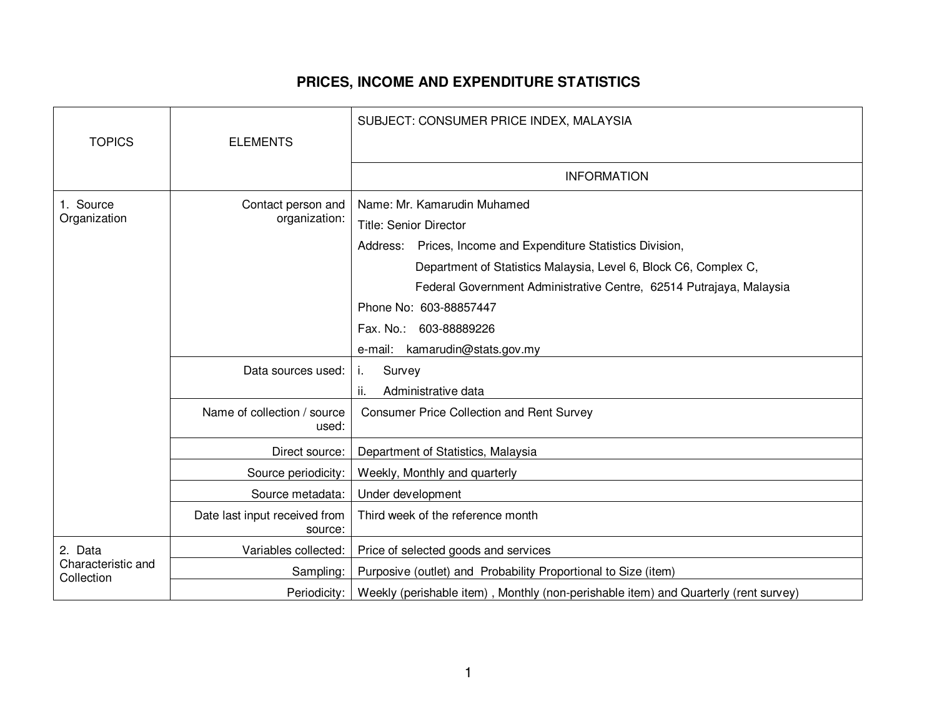## **PRICES, INCOME AND EXPENDITURE STATISTICS**

|                                             |                                          | SUBJECT: CONSUMER PRICE INDEX, MALAYSIA                                                                                                                                                                                                                                 |
|---------------------------------------------|------------------------------------------|-------------------------------------------------------------------------------------------------------------------------------------------------------------------------------------------------------------------------------------------------------------------------|
| <b>TOPICS</b>                               | <b>ELEMENTS</b>                          |                                                                                                                                                                                                                                                                         |
|                                             |                                          | <b>INFORMATION</b>                                                                                                                                                                                                                                                      |
| 1. Source<br>Organization                   | Contact person and<br>organization:      | Name: Mr. Kamarudin Muhamed<br><b>Title: Senior Director</b><br>Address: Prices, Income and Expenditure Statistics Division,<br>Department of Statistics Malaysia, Level 6, Block C6, Complex C,<br>Federal Government Administrative Centre, 62514 Putrajaya, Malaysia |
|                                             |                                          | Phone No: 603-88857447<br>Fax. No.: 603-88889226<br>e-mail: kamarudin@stats.gov.my                                                                                                                                                                                      |
|                                             | Data sources used:                       | Survey<br>T.<br>ji.<br>Administrative data                                                                                                                                                                                                                              |
|                                             | Name of collection / source<br>used:     | <b>Consumer Price Collection and Rent Survey</b>                                                                                                                                                                                                                        |
|                                             | Direct source:                           | Department of Statistics, Malaysia                                                                                                                                                                                                                                      |
|                                             | Source periodicity:                      | Weekly, Monthly and quarterly                                                                                                                                                                                                                                           |
|                                             | Source metadata:                         | Under development                                                                                                                                                                                                                                                       |
|                                             | Date last input received from<br>source: | Third week of the reference month                                                                                                                                                                                                                                       |
| 2. Data<br>Characteristic and<br>Collection | Variables collected:                     | Price of selected goods and services                                                                                                                                                                                                                                    |
|                                             | Sampling:                                | Purposive (outlet) and Probability Proportional to Size (item)                                                                                                                                                                                                          |
|                                             |                                          | Periodicity:   Weekly (perishable item), Monthly (non-perishable item) and Quarterly (rent survey)                                                                                                                                                                      |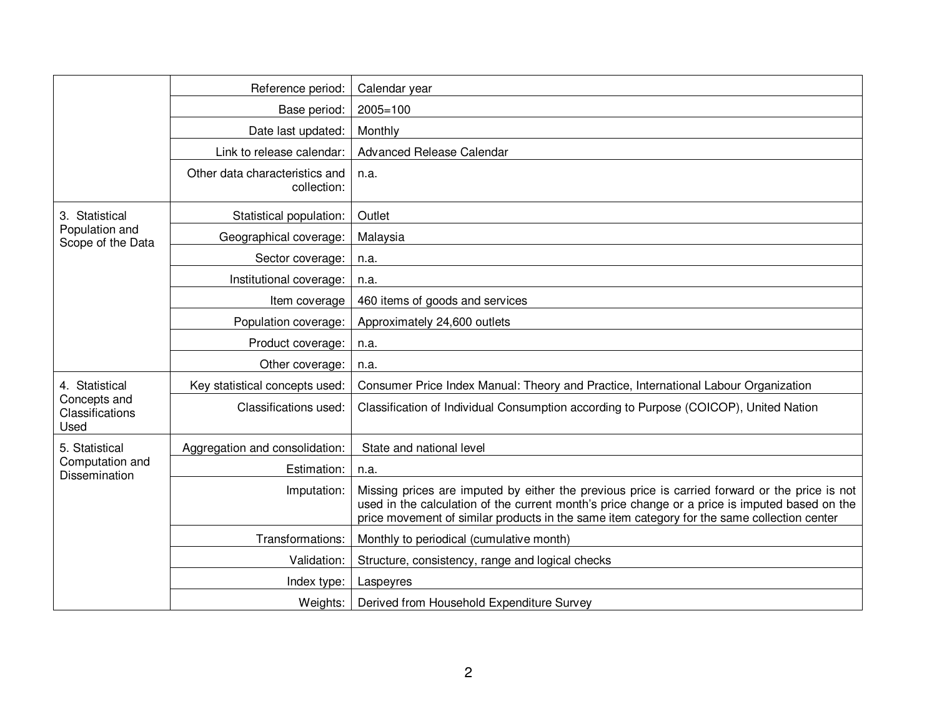|                                                           | Reference period:                             | Calendar year                                                                                                                                                                                                                                                                                   |
|-----------------------------------------------------------|-----------------------------------------------|-------------------------------------------------------------------------------------------------------------------------------------------------------------------------------------------------------------------------------------------------------------------------------------------------|
|                                                           | Base period:                                  | $2005 = 100$                                                                                                                                                                                                                                                                                    |
|                                                           | Date last updated:                            | Monthly                                                                                                                                                                                                                                                                                         |
|                                                           | Link to release calendar:                     | Advanced Release Calendar                                                                                                                                                                                                                                                                       |
|                                                           | Other data characteristics and<br>collection: | n.a.                                                                                                                                                                                                                                                                                            |
| 3. Statistical<br>Population and<br>Scope of the Data     | Statistical population:                       | Outlet                                                                                                                                                                                                                                                                                          |
|                                                           | Geographical coverage:                        | Malaysia                                                                                                                                                                                                                                                                                        |
|                                                           | Sector coverage:                              | n.a.                                                                                                                                                                                                                                                                                            |
|                                                           | Institutional coverage:                       | n.a.                                                                                                                                                                                                                                                                                            |
|                                                           | Item coverage                                 | 460 items of goods and services                                                                                                                                                                                                                                                                 |
|                                                           | Population coverage:                          | Approximately 24,600 outlets                                                                                                                                                                                                                                                                    |
|                                                           | Product coverage:                             | n.a.                                                                                                                                                                                                                                                                                            |
|                                                           | Other coverage:                               | n.a.                                                                                                                                                                                                                                                                                            |
| 4. Statistical<br>Concepts and<br>Classifications<br>Used | Key statistical concepts used:                | Consumer Price Index Manual: Theory and Practice, International Labour Organization                                                                                                                                                                                                             |
|                                                           | Classifications used:                         | Classification of Individual Consumption according to Purpose (COICOP), United Nation                                                                                                                                                                                                           |
| 5. Statistical<br>Computation and<br><b>Dissemination</b> | Aggregation and consolidation:                | State and national level                                                                                                                                                                                                                                                                        |
|                                                           | Estimation:                                   | n.a.                                                                                                                                                                                                                                                                                            |
|                                                           | Imputation:                                   | Missing prices are imputed by either the previous price is carried forward or the price is not<br>used in the calculation of the current month's price change or a price is imputed based on the<br>price movement of similar products in the same item category for the same collection center |
|                                                           | Transformations:                              | Monthly to periodical (cumulative month)                                                                                                                                                                                                                                                        |
|                                                           | Validation:                                   | Structure, consistency, range and logical checks                                                                                                                                                                                                                                                |
|                                                           | Index type:                                   | Laspeyres                                                                                                                                                                                                                                                                                       |
|                                                           | Weights:                                      | Derived from Household Expenditure Survey                                                                                                                                                                                                                                                       |